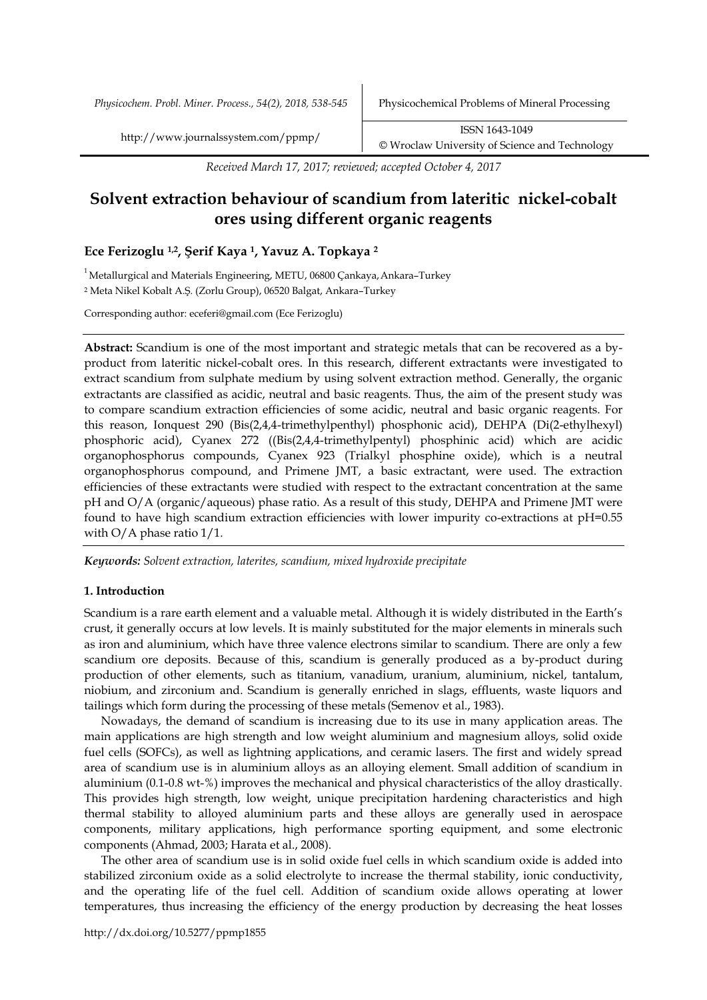*Physicochem. Probl. Miner. Process., 54(2), 2018, 538-545* Physicochemical Problems of Mineral Processing

*Received March 17, 2017; reviewed; accepted October 4, 2017*

# **Solvent extraction behaviour of scandium from lateritic nickel-cobalt ores using different organic reagents**

## **Ece Ferizoglu 1,2, Şerif Kaya 1, Yavuz A. Topkaya <sup>2</sup>**

 $1$ Metallurgical and Materials Engineering, METU, 06800 Çankaya, Ankara–Turkey

<sup>2</sup> Meta Nikel Kobalt A.Ş. (Zorlu Group), 06520 Balgat, Ankara–Turkey

Corresponding author: eceferi@gmail.com (Ece Ferizoglu)

**Abstract:** Scandium is one of the most important and strategic metals that can be recovered as a byproduct from lateritic nickel-cobalt ores. In this research, different extractants were investigated to extract scandium from sulphate medium by using solvent extraction method. Generally, the organic extractants are classified as acidic, neutral and basic reagents. Thus, the aim of the present study was to compare scandium extraction efficiencies of some acidic, neutral and basic organic reagents. For this reason, Ionquest 290 (Bis(2,4,4-trimethylpenthyl) phosphonic acid), DEHPA (Di(2-ethylhexyl) phosphoric acid), Cyanex 272 ((Bis(2,4,4-trimethylpentyl) phosphinic acid) which are acidic organophosphorus compounds, Cyanex 923 (Trialkyl phosphine oxide), which is a neutral organophosphorus compound, and Primene JMT, a basic extractant, were used. The extraction efficiencies of these extractants were studied with respect to the extractant concentration at the same pH and O/A (organic/aqueous) phase ratio. As a result of this study, DEHPA and Primene JMT were found to have high scandium extraction efficiencies with lower impurity co-extractions at pH=0.55 with O/A phase ratio  $1/1$ .

*Keywords: Solvent extraction, laterites, scandium, mixed hydroxide precipitate*

## **1. Introduction**

Scandium is a rare earth element and a valuable metal. Although it is widely distributed in the Earth's crust, it generally occurs at low levels. It is mainly substituted for the major elements in minerals such as iron and aluminium, which have three valence electrons similar to scandium. There are only a few scandium ore deposits. Because of this, scandium is generally produced as a by-product during production of other elements, such as titanium, vanadium, uranium, aluminium, nickel, tantalum, niobium, and zirconium and. Scandium is generally enriched in slags, effluents, waste liquors and tailings which form during the processing of these metals (Semenov et al., 1983).

Nowadays, the demand of scandium is increasing due to its use in many application areas. The main applications are high strength and low weight aluminium and magnesium alloys, solid oxide fuel cells (SOFCs), as well as lightning applications, and ceramic lasers. The first and widely spread area of scandium use is in aluminium alloys as an alloying element. Small addition of scandium in aluminium (0.1-0.8 wt-%) improves the mechanical and physical characteristics of the alloy drastically. This provides high strength, low weight, unique precipitation hardening characteristics and high thermal stability to alloyed aluminium parts and these alloys are generally used in aerospace components, military applications, high performance sporting equipment, and some electronic components (Ahmad, 2003; Harata et al., 2008).

The other area of scandium use is in solid oxide fuel cells in which scandium oxide is added into stabilized zirconium oxide as a solid electrolyte to increase the thermal stability, ionic conductivity, and the operating life of the fuel cell. Addition of scandium oxide allows operating at lower temperatures, thus increasing the efficiency of the energy production by decreasing the heat losses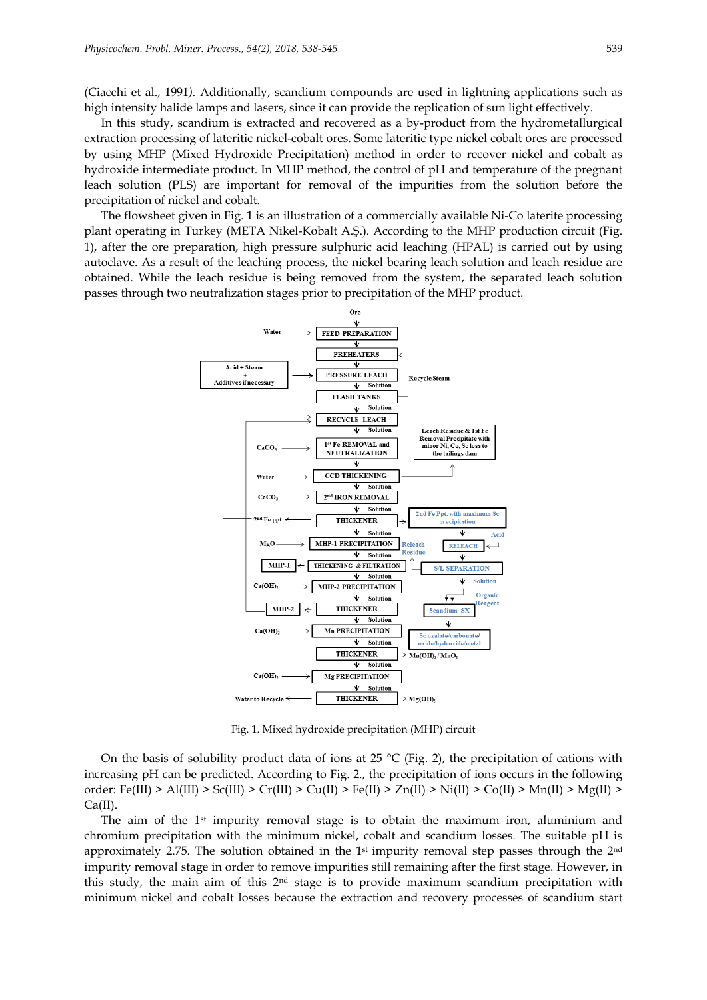(Ciacchi et al., 1991*).* Additionally, scandium compounds are used in lightning applications such as high intensity halide lamps and lasers, since it can provide the replication of sun light effectively.

In this study, scandium is extracted and recovered as a by-product from the hydrometallurgical extraction processing of lateritic nickel-cobalt ores. Some lateritic type nickel cobalt ores are processed by using MHP (Mixed Hydroxide Precipitation) method in order to recover nickel and cobalt as hydroxide intermediate product. In MHP method, the control of pH and temperature of the pregnant leach solution (PLS) are important for removal of the impurities from the solution before the precipitation of nickel and cobalt.

The flowsheet given in Fig. 1 is an illustration of a commercially available Ni-Co laterite processing plant operating in Turkey (META Nikel-Kobalt A.Ş.). According to the MHP production circuit (Fig. 1), after the ore preparation, high pressure sulphuric acid leaching (HPAL) is carried out by using autoclave. As a result of the leaching process, the nickel bearing leach solution and leach residue are obtained. While the leach residue is being removed from the system, the separated leach solution passes through two neutralization stages prior to precipitation of the MHP product.



Fig. 1. Mixed hydroxide precipitation (MHP) circuit

On the basis of solubility product data of ions at 25  $^{\circ}$ C (Fig. 2), the precipitation of cations with increasing pH can be predicted. According to Fig. 2., the precipitation of ions occurs in the following order: Fe(III) > Al(III) > Sc(III) > Cr(III) > Cu(II) > Fe(II) > Zn(II) > Ni(II) > Co(II) > Mn(II) > Mg(II) >  $Ca(II)$ .

The aim of the 1<sup>st</sup> impurity removal stage is to obtain the maximum iron, aluminium and chromium precipitation with the minimum nickel, cobalt and scandium losses. The suitable pH is approximately 2.75. The solution obtained in the 1<sup>st</sup> impurity removal step passes through the  $2<sup>nd</sup>$ impurity removal stage in order to remove impurities still remaining after the first stage. However, in this study, the main aim of this 2nd stage is to provide maximum scandium precipitation with minimum nickel and cobalt losses because the extraction and recovery processes of scandium start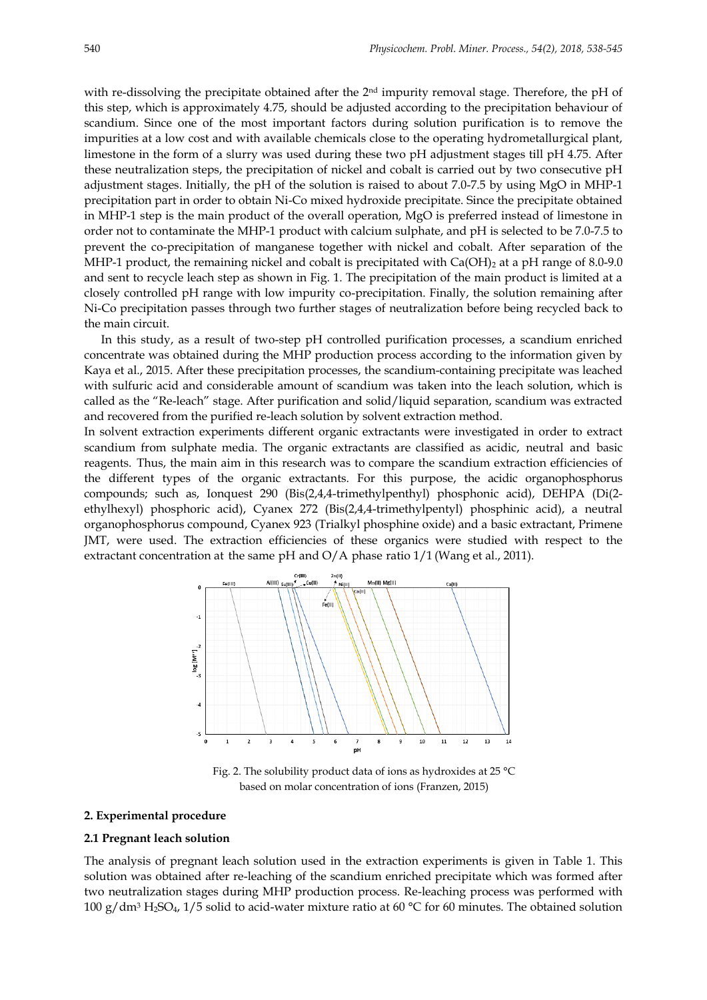with re-dissolving the precipitate obtained after the 2<sup>nd</sup> impurity removal stage. Therefore, the pH of this step, which is approximately 4.75, should be adjusted according to the precipitation behaviour of scandium. Since one of the most important factors during solution purification is to remove the impurities at a low cost and with available chemicals close to the operating hydrometallurgical plant, limestone in the form of a slurry was used during these two pH adjustment stages till pH 4.75. After these neutralization steps, the precipitation of nickel and cobalt is carried out by two consecutive pH adjustment stages. Initially, the pH of the solution is raised to about 7.0-7.5 by using MgO in MHP-1 precipitation part in order to obtain Ni-Co mixed hydroxide precipitate. Since the precipitate obtained in MHP-1 step is the main product of the overall operation, MgO is preferred instead of limestone in order not to contaminate the MHP-1 product with calcium sulphate, and pH is selected to be 7.0-7.5 to prevent the co-precipitation of manganese together with nickel and cobalt. After separation of the MHP-1 product, the remaining nickel and cobalt is precipitated with  $Ca(OH)_2$  at a pH range of 8.0-9.0 and sent to recycle leach step as shown in Fig. 1. The precipitation of the main product is limited at a closely controlled pH range with low impurity co-precipitation. Finally, the solution remaining after Ni-Co precipitation passes through two further stages of neutralization before being recycled back to the main circuit.

In this study, as a result of two-step pH controlled purification processes, a scandium enriched concentrate was obtained during the MHP production process according to the information given by Kaya et al., 2015. After these precipitation processes, the scandium-containing precipitate was leached with sulfuric acid and considerable amount of scandium was taken into the leach solution, which is called as the "Re-leach" stage. After purification and solid/liquid separation, scandium was extracted and recovered from the purified re-leach solution by solvent extraction method.

In solvent extraction experiments different organic extractants were investigated in order to extract scandium from sulphate media. The organic extractants are classified as acidic, neutral and basic reagents. Thus, the main aim in this research was to compare the scandium extraction efficiencies of the different types of the organic extractants. For this purpose, the acidic organophosphorus compounds; such as, Ionquest 290 (Bis(2,4,4-trimethylpenthyl) phosphonic acid), DEHPA (Di(2 ethylhexyl) phosphoric acid), Cyanex 272 (Bis(2,4,4-trimethylpentyl) phosphinic acid), a neutral organophosphorus compound, Cyanex 923 (Trialkyl phosphine oxide) and a basic extractant, Primene JMT, were used. The extraction efficiencies of these organics were studied with respect to the extractant concentration at the same pH and  $O/A$  phase ratio  $1/1$  (Wang et al., 2011).



Fig. 2. The solubility product data of ions as hydroxides at 25 °C based on molar concentration of ions (Franzen, 2015)

## **2. Experimental procedure**

## **2.1 Pregnant leach solution**

The analysis of pregnant leach solution used in the extraction experiments is given in Table 1. This solution was obtained after re-leaching of the scandium enriched precipitate which was formed after two neutralization stages during MHP production process. Re-leaching process was performed with 100 g/dm<sup>3</sup> H<sub>2</sub>SO<sub>4</sub>, 1/5 solid to acid-water mixture ratio at 60 °C for 60 minutes. The obtained solution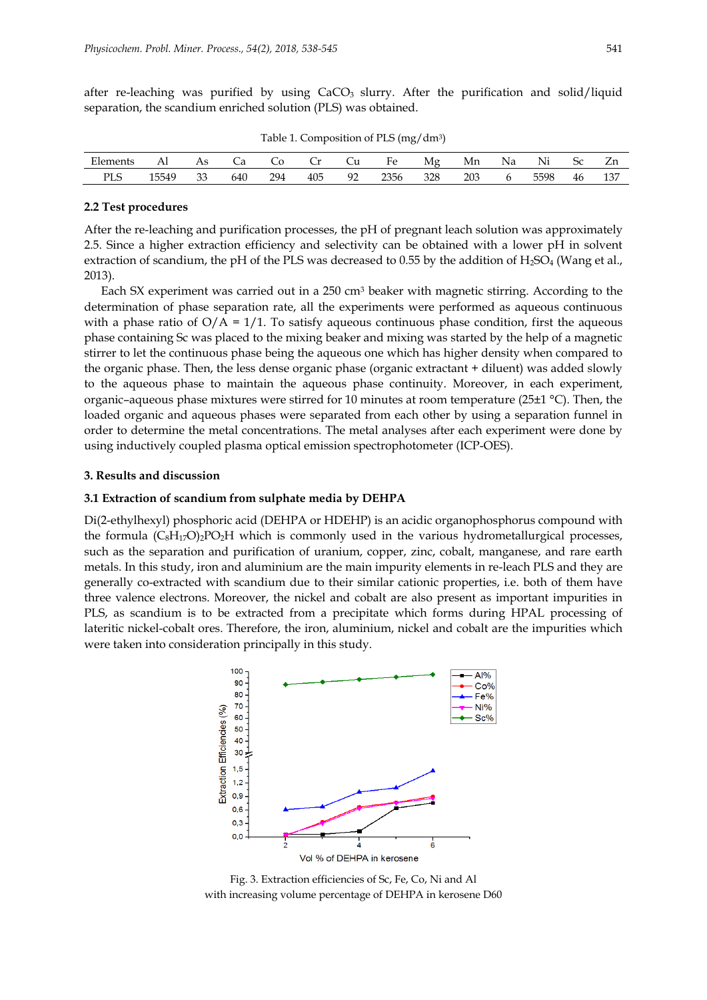after re-leaching was purified by using  $CaCO<sub>3</sub>$  slurry. After the purification and solid/liquid separation, the scandium enriched solution (PLS) was obtained.

|            | $\ddotsc$ |    |     |     |     |    |      |     |     |    |      |    |     |
|------------|-----------|----|-----|-----|-----|----|------|-----|-----|----|------|----|-----|
| Elements   | Al        |    | Ca  |     | ∟r  | Сu | Fe   | Mg  | Mn  | Na | Ni   |    |     |
| <b>PLS</b> | 15549     | 33 | 640 | 294 | 405 | 92 | 2356 | 328 | 203 |    | 5598 | 46 | 137 |

Table 1. Composition of PLS (mg/dm3)

#### **2.2 Test procedures**

After the re-leaching and purification processes, the pH of pregnant leach solution was approximately 2.5. Since a higher extraction efficiency and selectivity can be obtained with a lower pH in solvent extraction of scandium, the pH of the PLS was decreased to 0.55 by the addition of  $H_2SO_4$  (Wang et al., 2013).

Each SX experiment was carried out in a  $250 \text{ cm}^3$  beaker with magnetic stirring. According to the determination of phase separation rate, all the experiments were performed as aqueous continuous with a phase ratio of  $O/A = 1/1$ . To satisfy aqueous continuous phase condition, first the aqueous phase containing Sc was placed to the mixing beaker and mixing was started by the help of a magnetic stirrer to let the continuous phase being the aqueous one which has higher density when compared to the organic phase. Then, the less dense organic phase (organic extractant + diluent) was added slowly to the aqueous phase to maintain the aqueous phase continuity. Moreover, in each experiment, organic–aqueous phase mixtures were stirred for 10 minutes at room temperature (25±1 °C). Then, the loaded organic and aqueous phases were separated from each other by using a separation funnel in order to determine the metal concentrations. The metal analyses after each experiment were done by using inductively coupled plasma optical emission spectrophotometer (ICP-OES).

## **3. Results and discussion**

#### **3.1 Extraction of scandium from sulphate media by DEHPA**

Di(2-ethylhexyl) phosphoric acid (DEHPA or HDEHP) is an acidic organophosphorus compound with the formula  $(C_8H_{17}O)_2PO_2H$  which is commonly used in the various hydrometallurgical processes, such as the separation and purification of uranium, copper, zinc, cobalt, manganese, and rare earth metals. In this study, iron and aluminium are the main impurity elements in re-leach PLS and they are generally co-extracted with scandium due to their similar cationic properties, i.e. both of them have three valence electrons. Moreover, the nickel and cobalt are also present as important impurities in PLS, as scandium is to be extracted from a precipitate which forms during HPAL processing of lateritic nickel-cobalt ores. Therefore, the iron, aluminium, nickel and cobalt are the impurities which were taken into consideration principally in this study.



Fig. 3. Extraction efficiencies of Sc, Fe, Co, Ni and Al with increasing volume percentage of DEHPA in kerosene D60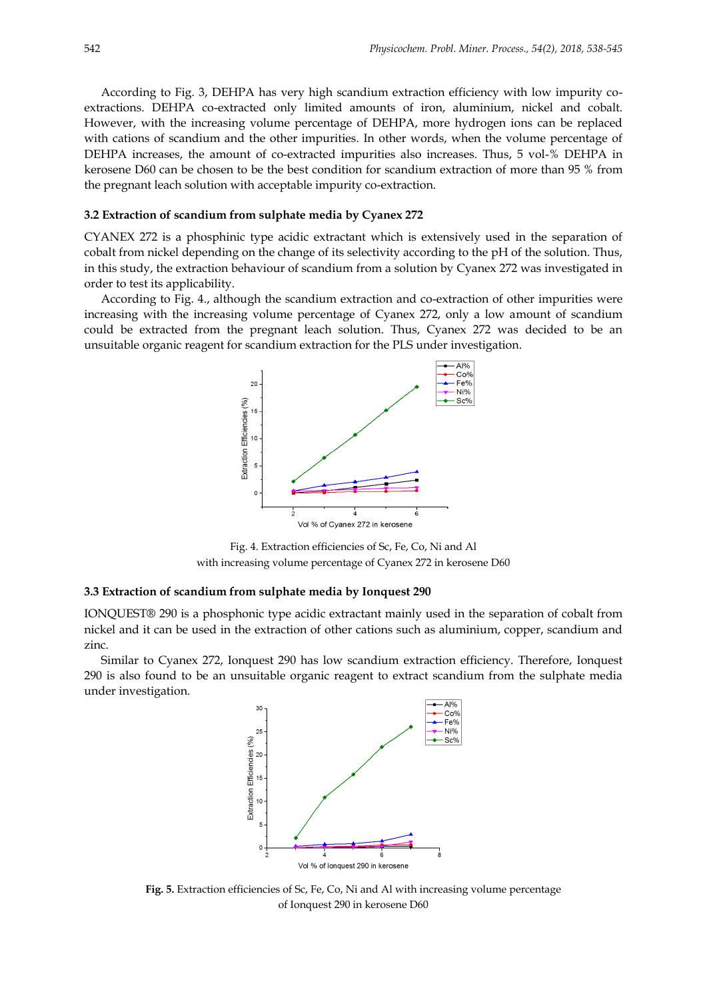According to Fig. 3, DEHPA has very high scandium extraction efficiency with low impurity coextractions. DEHPA co-extracted only limited amounts of iron, aluminium, nickel and cobalt. However, with the increasing volume percentage of DEHPA, more hydrogen ions can be replaced with cations of scandium and the other impurities. In other words, when the volume percentage of DEHPA increases, the amount of co-extracted impurities also increases. Thus, 5 vol-% DEHPA in kerosene D60 can be chosen to be the best condition for scandium extraction of more than 95 % from the pregnant leach solution with acceptable impurity co-extraction.

#### **3.2 Extraction of scandium from sulphate media by Cyanex 272**

CYANEX 272 is a phosphinic type acidic extractant which is extensively used in the separation of cobalt from nickel depending on the change of its selectivity according to the pH of the solution. Thus, in this study, the extraction behaviour of scandium from a solution by Cyanex 272 was investigated in order to test its applicability.

According to Fig. 4., although the scandium extraction and co-extraction of other impurities were increasing with the increasing volume percentage of Cyanex 272, only a low amount of scandium could be extracted from the pregnant leach solution. Thus, Cyanex 272 was decided to be an unsuitable organic reagent for scandium extraction for the PLS under investigation.



Fig. 4. Extraction efficiencies of Sc, Fe, Co, Ni and Al with increasing volume percentage of Cyanex 272 in kerosene D60

#### **3.3 Extraction of scandium from sulphate media by Ionquest 290**

IONQUEST® 290 is a phosphonic type acidic extractant mainly used in the separation of cobalt from nickel and it can be used in the extraction of other cations such as aluminium, copper, scandium and zinc.

Similar to Cyanex 272, Ionquest 290 has low scandium extraction efficiency. Therefore, Ionquest 290 is also found to be an unsuitable organic reagent to extract scandium from the sulphate media under investigation.



**Fig. 5.** Extraction efficiencies of Sc, Fe, Co, Ni and Al with increasing volume percentage of Ionquest 290 in kerosene D60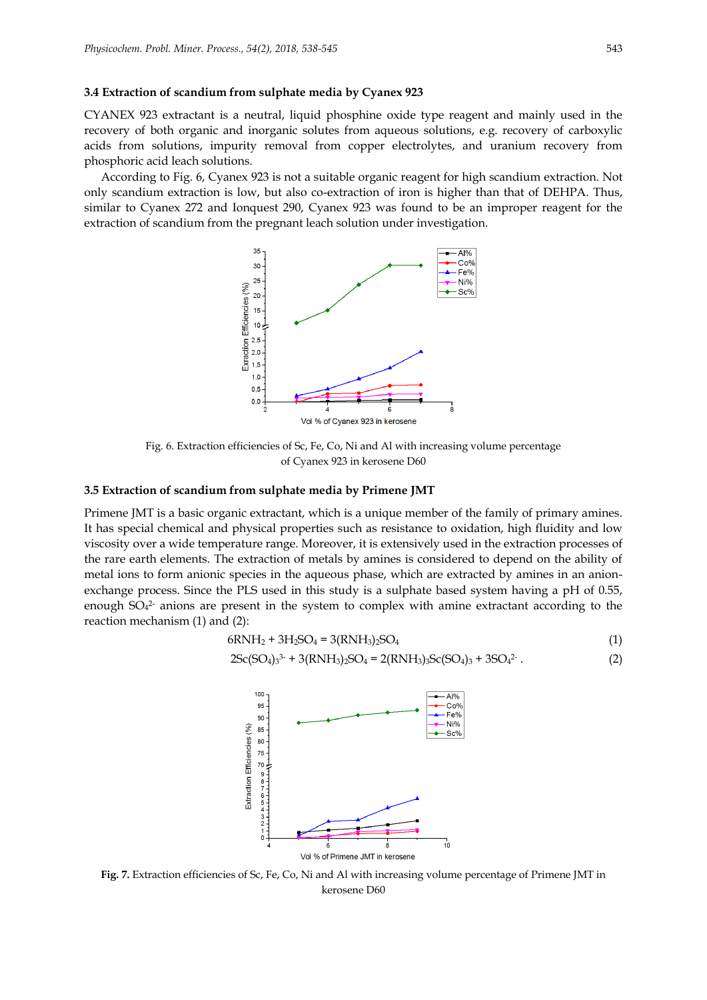#### **3.4 Extraction of scandium from sulphate media by Cyanex 923**

CYANEX 923 extractant is a neutral, liquid phosphine oxide type reagent and mainly used in the recovery of both organic and inorganic solutes from aqueous solutions, e.g. recovery of carboxylic acids from solutions, impurity removal from copper electrolytes, and uranium recovery from phosphoric acid leach solutions.

According to Fig. 6, Cyanex 923 is not a suitable organic reagent for high scandium extraction. Not only scandium extraction is low, but also co-extraction of iron is higher than that of DEHPA. Thus, similar to Cyanex 272 and Ionquest 290, Cyanex 923 was found to be an improper reagent for the extraction of scandium from the pregnant leach solution under investigation.



Fig. 6. Extraction efficiencies of Sc, Fe, Co, Ni and Al with increasing volume percentage of Cyanex 923 in kerosene D60

## **3.5 Extraction of scandium from sulphate media by Primene JMT**

Primene JMT is a basic organic extractant, which is a unique member of the family of primary amines. It has special chemical and physical properties such as resistance to oxidation, high fluidity and low viscosity over a wide temperature range. Moreover, it is extensively used in the extraction processes of the rare earth elements. The extraction of metals by amines is considered to depend on the ability of metal ions to form anionic species in the aqueous phase, which are extracted by amines in an anionexchange process. Since the PLS used in this study is a sulphate based system having a pH of 0.55, enough  $SO_4^2$  anions are present in the system to complex with amine extractant according to the reaction mechanism (1) and (2):

$$
6RNH_2 + 3H_2SO_4 = 3(RNH_3)_2SO_4
$$
\n(1)

$$
2Sc(SO4)33- + 3(RNH3)2SO4 = 2(RNH3)3Sc(SO4)3 + 3SO42-. (2)
$$



**Fig. 7.** Extraction efficiencies of Sc, Fe, Co, Ni and Al with increasing volume percentage of Primene JMT in kerosene D60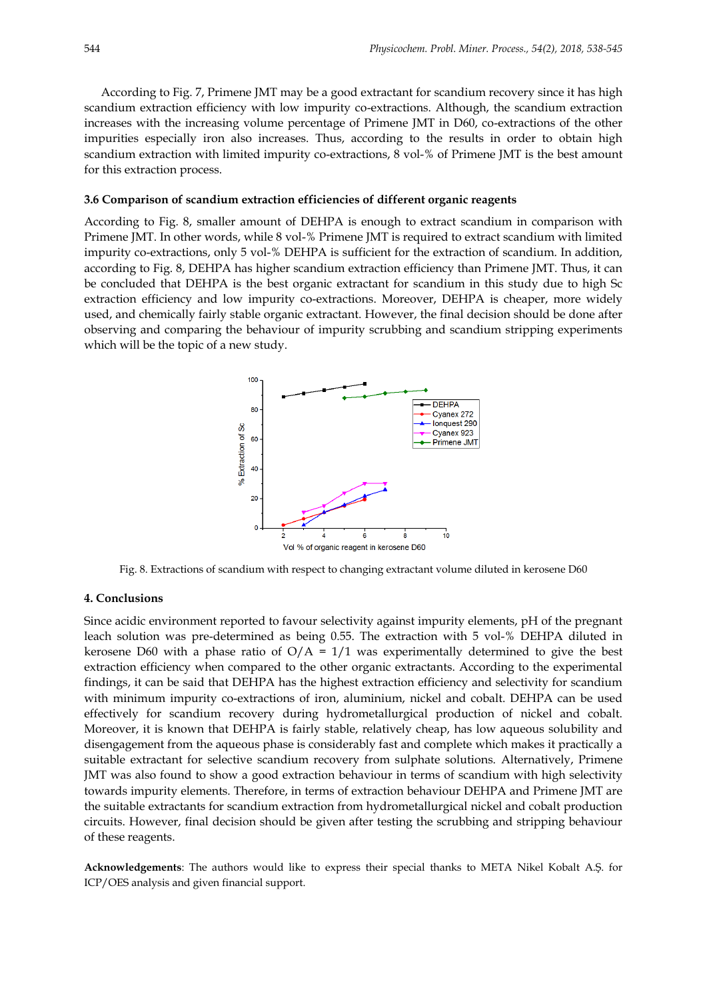According to Fig. 7, Primene JMT may be a good extractant for scandium recovery since it has high scandium extraction efficiency with low impurity co-extractions. Although, the scandium extraction increases with the increasing volume percentage of Primene JMT in D60, co-extractions of the other impurities especially iron also increases. Thus, according to the results in order to obtain high scandium extraction with limited impurity co-extractions, 8 vol-% of Primene JMT is the best amount for this extraction process.

## **3.6 Comparison of scandium extraction efficiencies of different organic reagents**

According to Fig. 8, smaller amount of DEHPA is enough to extract scandium in comparison with Primene JMT. In other words, while 8 vol-% Primene JMT is required to extract scandium with limited impurity co-extractions, only 5 vol-% DEHPA is sufficient for the extraction of scandium. In addition, according to Fig. 8, DEHPA has higher scandium extraction efficiency than Primene JMT. Thus, it can be concluded that DEHPA is the best organic extractant for scandium in this study due to high Sc extraction efficiency and low impurity co-extractions. Moreover, DEHPA is cheaper, more widely used, and chemically fairly stable organic extractant. However, the final decision should be done after observing and comparing the behaviour of impurity scrubbing and scandium stripping experiments which will be the topic of a new study.



Fig. 8. Extractions of scandium with respect to changing extractant volume diluted in kerosene D60

#### **4. Conclusions**

Since acidic environment reported to favour selectivity against impurity elements, pH of the pregnant leach solution was pre-determined as being 0.55. The extraction with 5 vol-% DEHPA diluted in kerosene D60 with a phase ratio of  $O/A = 1/1$  was experimentally determined to give the best extraction efficiency when compared to the other organic extractants. According to the experimental findings, it can be said that DEHPA has the highest extraction efficiency and selectivity for scandium with minimum impurity co-extractions of iron, aluminium, nickel and cobalt. DEHPA can be used effectively for scandium recovery during hydrometallurgical production of nickel and cobalt. Moreover, it is known that DEHPA is fairly stable, relatively cheap, has low aqueous solubility and disengagement from the aqueous phase is considerably fast and complete which makes it practically a suitable extractant for selective scandium recovery from sulphate solutions. Alternatively, Primene JMT was also found to show a good extraction behaviour in terms of scandium with high selectivity towards impurity elements. Therefore, in terms of extraction behaviour DEHPA and Primene JMT are the suitable extractants for scandium extraction from hydrometallurgical nickel and cobalt production circuits. However, final decision should be given after testing the scrubbing and stripping behaviour of these reagents.

**Acknowledgements**: The authors would like to express their special thanks to META Nikel Kobalt A.Ş. for ICP/OES analysis and given financial support.